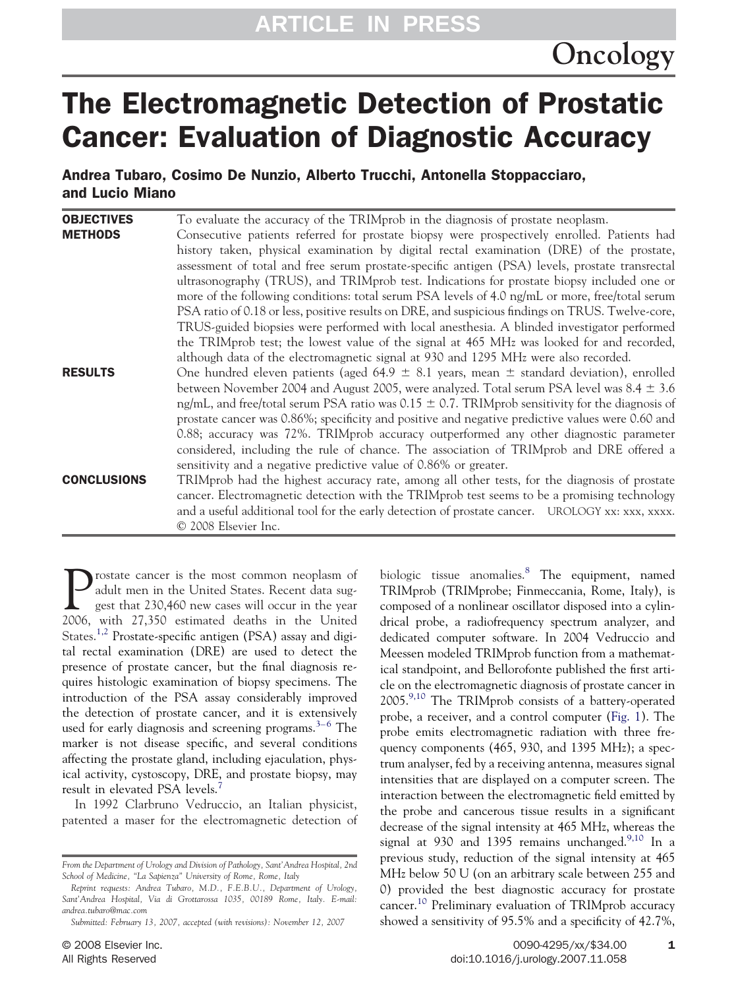# The Electromagnetic Detection of Prostatic Cancer: Evaluation of Diagnostic Accuracy

Andrea Tubaro, Cosimo De Nunzio, Alberto Trucchi, Antonella Stoppacciaro, and Lucio Miano

| <b>OBJECTIVES</b>  | To evaluate the accuracy of the TRIMprob in the diagnosis of prostate neoplasm.                     |
|--------------------|-----------------------------------------------------------------------------------------------------|
| <b>METHODS</b>     | Consecutive patients referred for prostate biopsy were prospectively enrolled. Patients had         |
|                    | history taken, physical examination by digital rectal examination (DRE) of the prostate,            |
|                    | assessment of total and free serum prostate-specific antigen (PSA) levels, prostate transrectal     |
|                    | ultrasonography (TRUS), and TRIMprob test. Indications for prostate biopsy included one or          |
|                    | more of the following conditions: total serum PSA levels of 4.0 ng/mL or more, free/total serum     |
|                    | PSA ratio of 0.18 or less, positive results on DRE, and suspicious findings on TRUS. Twelve-core,   |
|                    | TRUS-guided biopsies were performed with local anesthesia. A blinded investigator performed         |
|                    | the TRIMprob test; the lowest value of the signal at 465 MHz was looked for and recorded,           |
|                    | although data of the electromagnetic signal at 930 and 1295 MHz were also recorded.                 |
| <b>RESULTS</b>     | One hundred eleven patients (aged 64.9 $\pm$ 8.1 years, mean $\pm$ standard deviation), enrolled    |
|                    | between November 2004 and August 2005, were analyzed. Total serum PSA level was $8.4 \pm 3.6$       |
|                    | ng/mL, and free/total serum PSA ratio was 0.15 $\pm$ 0.7. TRIMprob sensitivity for the diagnosis of |
|                    | prostate cancer was 0.86%; specificity and positive and negative predictive values were 0.60 and    |
|                    | 0.88; accuracy was 72%. TRIMprob accuracy outperformed any other diagnostic parameter               |
|                    | considered, including the rule of chance. The association of TRIMprob and DRE offered a             |
|                    | sensitivity and a negative predictive value of 0.86% or greater.                                    |
| <b>CONCLUSIONS</b> | TRIMprob had the highest accuracy rate, among all other tests, for the diagnosis of prostate        |
|                    | cancer. Electromagnetic detection with the TRIMprob test seems to be a promising technology         |
|                    | and a useful additional tool for the early detection of prostate cancer. UROLOGY xx: xxx, xxxx.     |
|                    | © 2008 Elsevier Inc.                                                                                |

Prostate cancer is the most common neoplasm of adult men in the United States. Recent data suggest that 230,460 new cases will occur in the year 2006, with 27,350 estimated deaths in the United States.<sup>[1,2](#page-3-0)</sup> Prostate-specific antigen (PSA) assay and digital rectal examination (DRE) are used to detect the presence of prostate cancer, but the final diagnosis requires histologic examination of biopsy specimens. The introduction of the PSA assay considerably improved the detection of prostate cancer, and it is extensively used for early diagnosis and screening programs.<sup>3–6</sup> The marker is not disease specific, and several conditions affecting the prostate gland, including ejaculation, physical activity, cystoscopy, DRE, and prostate biopsy, may result in elevated PSA levels.[7](#page-3-0)

In 1992 Clarbruno Vedruccio, an Italian physicist, patented a maser for the electromagnetic detection of

*Reprint requests: Andrea Tubaro, M.D., F.E.B.U., Department of Urology, Sant'Andrea Hospital, Via di Grottarossa 1035, 00189 Rome, Italy. E-mail: andrea.tubaro@mac.com*

biologic tissue anomalies.<sup>[8](#page-3-0)</sup> The equipment, named TRIMprob (TRIMprobe; Finmeccania, Rome, Italy), is composed of a nonlinear oscillator disposed into a cylindrical probe, a radiofrequency spectrum analyzer, and dedicated computer software. In 2004 Vedruccio and Meessen modeled TRIMprob function from a mathematical standpoint, and Bellorofonte published the first article on the electromagnetic diagnosis of prostate cancer in 2005.[9,10](#page-3-0) The TRIMprob consists of a battery-operated probe, a receiver, and a control computer [\(Fig. 1\)](#page-1-0). The probe emits electromagnetic radiation with three frequency components (465, 930, and 1395 MHz); a spectrum analyser, fed by a receiving antenna, measures signal intensities that are displayed on a computer screen. The interaction between the electromagnetic field emitted by the probe and cancerous tissue results in a significant decrease of the signal intensity at 465 MHz, whereas the signal at 930 and 1395 remains unchanged.<sup>[9,10](#page-3-0)</sup> In a previous study, reduction of the signal intensity at 465 MHz below 50 U (on an arbitrary scale between 255 and 0) provided the best diagnostic accuracy for prostate cancer.[10](#page-4-0) Preliminary evaluation of TRIMprob accuracy showed a sensitivity of 95.5% and a specificity of 42.7%,

*From the Department of Urology and Division of Pathology, Sant'Andrea Hospital, 2nd School of Medicine, "La Sapienza" University of Rome, Rome, Italy*

*Submitted: February 13, 2007, accepted (with revisions): November 12, 2007*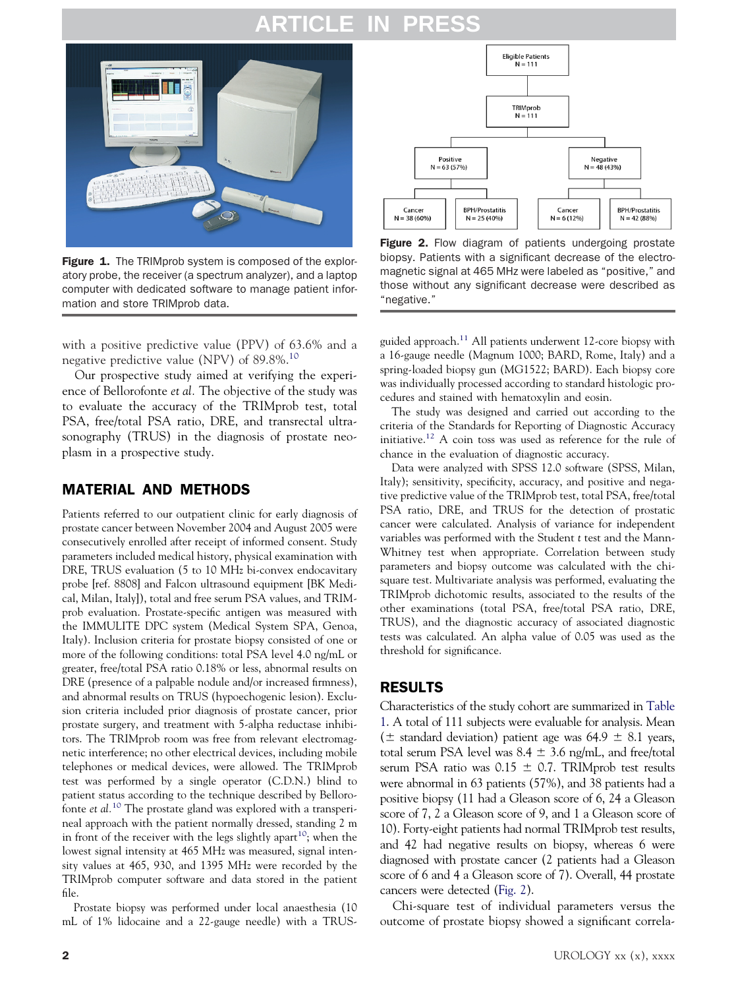# **ARTICLE IN PRESS**

<span id="page-1-0"></span>

Figure 1. The TRIMprob system is composed of the exploratory probe, the receiver (a spectrum analyzer), and a laptop computer with dedicated software to manage patient information and store TRIMprob data.

with a positive predictive value (PPV) of 63.6% and a negative predictive value (NPV) of 89.8%.[10](#page-4-0)

Our prospective study aimed at verifying the experience of Bellorofonte *et al.* The objective of the study was to evaluate the accuracy of the TRIMprob test, total PSA, free/total PSA ratio, DRE, and transrectal ultrasonography (TRUS) in the diagnosis of prostate neoplasm in a prospective study.

#### MATERIAL AND METHODS

Patients referred to our outpatient clinic for early diagnosis of prostate cancer between November 2004 and August 2005 were consecutively enrolled after receipt of informed consent. Study parameters included medical history, physical examination with DRE, TRUS evaluation (5 to 10 MHz bi-convex endocavitary probe [ref. 8808] and Falcon ultrasound equipment [BK Medical, Milan, Italy]), total and free serum PSA values, and TRIMprob evaluation. Prostate-specific antigen was measured with the IMMULITE DPC system (Medical System SPA, Genoa, Italy). Inclusion criteria for prostate biopsy consisted of one or more of the following conditions: total PSA level 4.0 ng/mL or greater, free/total PSA ratio 0.18% or less, abnormal results on DRE (presence of a palpable nodule and/or increased firmness), and abnormal results on TRUS (hypoechogenic lesion). Exclusion criteria included prior diagnosis of prostate cancer, prior prostate surgery, and treatment with 5-alpha reductase inhibitors. The TRIMprob room was free from relevant electromagnetic interference; no other electrical devices, including mobile telephones or medical devices, were allowed. The TRIMprob test was performed by a single operator (C.D.N.) blind to patient status according to the technique described by Bellorofonte *et al.*[10](#page-4-0) The prostate gland was explored with a transperineal approach with the patient normally dressed, standing 2 m in front of the receiver with the legs slightly apart<sup>10</sup>; when the lowest signal intensity at 465 MHz was measured, signal intensity values at 465, 930, and 1395 MHz were recorded by the TRIMprob computer software and data stored in the patient file.

Prostate biopsy was performed under local anaesthesia (10 mL of 1% lidocaine and a 22-gauge needle) with a TRUS-



Figure 2. Flow diagram of patients undergoing prostate biopsy. Patients with a significant decrease of the electromagnetic signal at 465 MHz were labeled as "positive," and those without any significant decrease were described as "negative."

guided approach.<sup>11</sup> All patients underwent 12-core biopsy with a 16-gauge needle (Magnum 1000; BARD, Rome, Italy) and a spring-loaded biopsy gun (MG1522; BARD). Each biopsy core was individually processed according to standard histologic procedures and stained with hematoxylin and eosin.

The study was designed and carried out according to the criteria of the Standards for Reporting of Diagnostic Accuracy initiative[.12](#page-4-0) A coin toss was used as reference for the rule of chance in the evaluation of diagnostic accuracy.

Data were analyzed with SPSS 12.0 software (SPSS, Milan, Italy); sensitivity, specificity, accuracy, and positive and negative predictive value of the TRIMprob test, total PSA, free/total PSA ratio, DRE, and TRUS for the detection of prostatic cancer were calculated. Analysis of variance for independent variables was performed with the Student *t* test and the Mann-Whitney test when appropriate. Correlation between study parameters and biopsy outcome was calculated with the chisquare test. Multivariate analysis was performed, evaluating the TRIMprob dichotomic results, associated to the results of the other examinations (total PSA, free/total PSA ratio, DRE, TRUS), and the diagnostic accuracy of associated diagnostic tests was calculated. An alpha value of 0.05 was used as the threshold for significance.

#### RESULTS

Characteristics of the study cohort are summarized in [Table](#page-2-0) [1.](#page-2-0) A total of 111 subjects were evaluable for analysis. Mean ( $\pm$  standard deviation) patient age was 64.9  $\pm$  8.1 years, total serum PSA level was  $8.4 \pm 3.6$  ng/mL, and free/total serum PSA ratio was  $0.15 \pm 0.7$ . TRIMprob test results were abnormal in 63 patients (57%), and 38 patients had a positive biopsy (11 had a Gleason score of 6, 24 a Gleason score of 7, 2 a Gleason score of 9, and 1 a Gleason score of 10). Forty-eight patients had normal TRIMprob test results, and 42 had negative results on biopsy, whereas 6 were diagnosed with prostate cancer (2 patients had a Gleason score of 6 and 4 a Gleason score of 7). Overall, 44 prostate cancers were detected (Fig. 2).

Chi-square test of individual parameters versus the outcome of prostate biopsy showed a significant correla-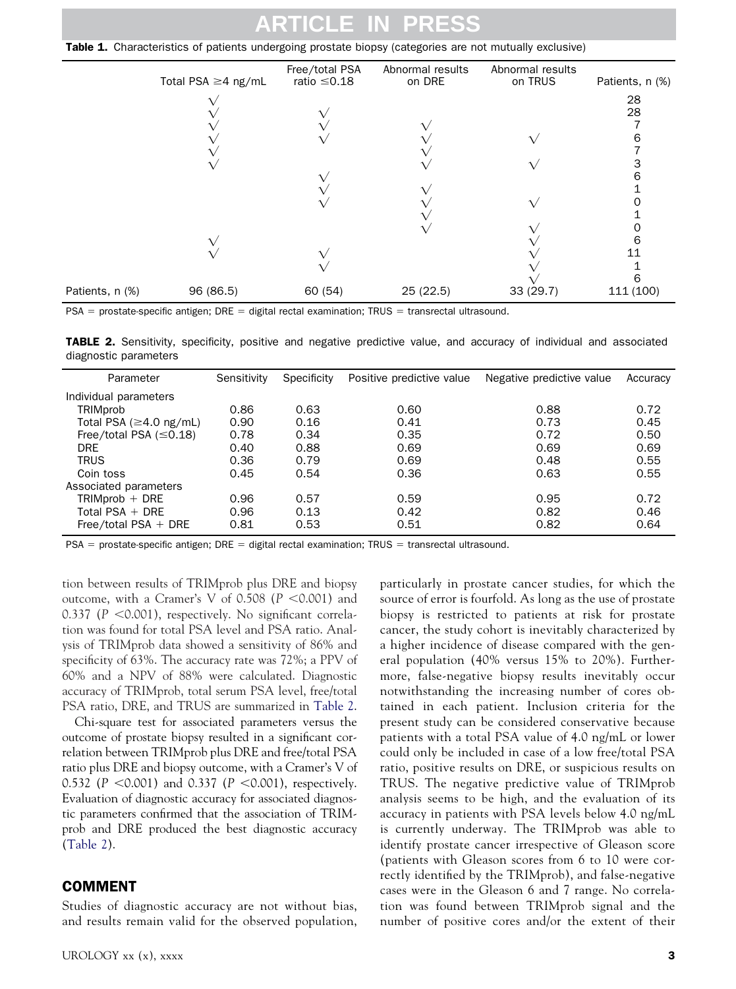# **ARTICLE IN PRESS**

<span id="page-2-0"></span>**Table 1.** Characteristics of patients undergoing prostate biopsy (categories are not mutually exclusive)

|                 | Total PSA $\geq$ 4 ng/mL | Free/total PSA<br>ratio $\leq 0.18$ | Abnormal results<br>on DRE | Abnormal results<br>on TRUS | Patients, n (%) |
|-----------------|--------------------------|-------------------------------------|----------------------------|-----------------------------|-----------------|
|                 |                          |                                     |                            |                             | 28              |
|                 |                          |                                     |                            |                             | 28              |
|                 |                          |                                     |                            |                             |                 |
|                 |                          |                                     |                            |                             | n               |
|                 |                          |                                     |                            |                             |                 |
|                 |                          |                                     |                            |                             |                 |
|                 |                          |                                     |                            |                             |                 |
|                 |                          |                                     |                            |                             |                 |
|                 |                          |                                     |                            |                             |                 |
|                 |                          |                                     |                            |                             |                 |
|                 |                          |                                     |                            |                             |                 |
|                 |                          |                                     |                            |                             | 6               |
|                 |                          |                                     |                            |                             | 11              |
|                 |                          |                                     |                            |                             |                 |
|                 |                          |                                     |                            |                             |                 |
| Patients, n (%) | 96 (86.5)                | 60 (54)                             | 25 (22.5)                  | 33(29.7)                    | 111 (100)       |

 $PSA =$  prostate-specific antigen; DRE = digital rectal examination; TRUS = transrectal ultrasound.

TABLE 2. Sensitivity, specificity, positive and negative predictive value, and accuracy of individual and associated diagnostic parameters

| Parameter                     | Sensitivity | Specificity | Positive predictive value | Negative predictive value | Accuracy |
|-------------------------------|-------------|-------------|---------------------------|---------------------------|----------|
| Individual parameters         |             |             |                           |                           |          |
| <b>TRIMprob</b>               | 0.86        | 0.63        | 0.60                      | 0.88                      | 0.72     |
| Total PSA ( $\geq$ 4.0 ng/mL) | 0.90        | 0.16        | 0.41                      | 0.73                      | 0.45     |
| Free/total PSA $(\leq 0.18)$  | 0.78        | 0.34        | 0.35                      | 0.72                      | 0.50     |
| <b>DRE</b>                    | 0.40        | 0.88        | 0.69                      | 0.69                      | 0.69     |
| <b>TRUS</b>                   | 0.36        | 0.79        | 0.69                      | 0.48                      | 0.55     |
| Coin toss                     | 0.45        | 0.54        | 0.36                      | 0.63                      | 0.55     |
| Associated parameters         |             |             |                           |                           |          |
| $TRIMprob + DRE$              | 0.96        | 0.57        | 0.59                      | 0.95                      | 0.72     |
| Total PSA $+$ DRE             | 0.96        | 0.13        | 0.42                      | 0.82                      | 0.46     |
| Free/total PSA $+$ DRE        | 0.81        | 0.53        | 0.51                      | 0.82                      | 0.64     |

 $PSA =$  prostate-specific antigen; DRE = digital rectal examination; TRUS = transrectal ultrasound.

tion between results of TRIMprob plus DRE and biopsy outcome, with a Cramer's V of 0.508  $(P < 0.001)$  and 0.337 (P < 0.001), respectively. No significant correlation was found for total PSA level and PSA ratio. Analysis of TRIMprob data showed a sensitivity of 86% and specificity of 63%. The accuracy rate was 72%; a PPV of 60% and a NPV of 88% were calculated. Diagnostic accuracy of TRIMprob, total serum PSA level, free/total PSA ratio, DRE, and TRUS are summarized in Table 2.

Chi-square test for associated parameters versus the outcome of prostate biopsy resulted in a significant correlation between TRIMprob plus DRE and free/total PSA ratio plus DRE and biopsy outcome, with a Cramer's V of 0.532 (*P* -0.001) and 0.337 (*P* -0.001), respectively. Evaluation of diagnostic accuracy for associated diagnostic parameters confirmed that the association of TRIMprob and DRE produced the best diagnostic accuracy (Table 2).

#### COMMENT

Studies of diagnostic accuracy are not without bias, and results remain valid for the observed population,

UROLOGY  $xx(x)$ ,  $xxxxx$  3

particularly in prostate cancer studies, for which the source of error is fourfold. As long as the use of prostate biopsy is restricted to patients at risk for prostate cancer, the study cohort is inevitably characterized by a higher incidence of disease compared with the general population (40% versus 15% to 20%). Furthermore, false-negative biopsy results inevitably occur notwithstanding the increasing number of cores obtained in each patient. Inclusion criteria for the present study can be considered conservative because patients with a total PSA value of 4.0 ng/mL or lower could only be included in case of a low free/total PSA ratio, positive results on DRE, or suspicious results on TRUS. The negative predictive value of TRIMprob analysis seems to be high, and the evaluation of its accuracy in patients with PSA levels below 4.0 ng/mL is currently underway. The TRIMprob was able to identify prostate cancer irrespective of Gleason score (patients with Gleason scores from 6 to 10 were correctly identified by the TRIMprob), and false-negative cases were in the Gleason 6 and 7 range. No correlation was found between TRIMprob signal and the number of positive cores and/or the extent of their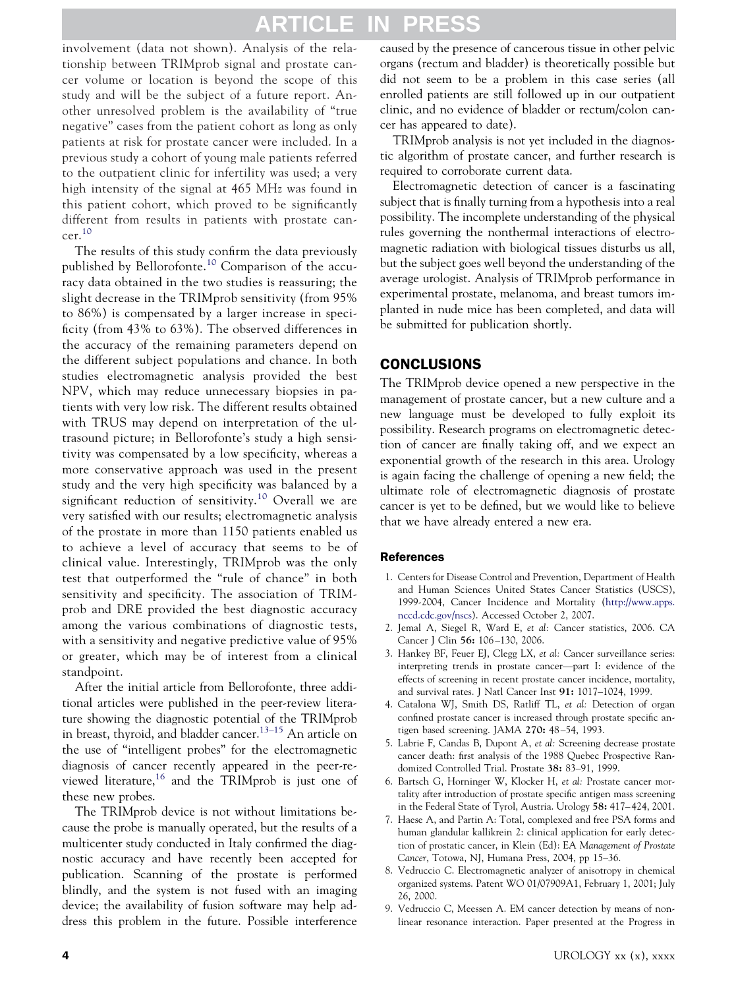# **ARTICLE IN PRES**

<span id="page-3-0"></span>involvement (data not shown). Analysis of the relationship between TRIMprob signal and prostate cancer volume or location is beyond the scope of this study and will be the subject of a future report. Another unresolved problem is the availability of "true negative" cases from the patient cohort as long as only patients at risk for prostate cancer were included. In a previous study a cohort of young male patients referred to the outpatient clinic for infertility was used; a very high intensity of the signal at 465 MHz was found in this patient cohort, which proved to be significantly different from results in patients with prostate can- $cer.<sup>10</sup>$  $cer.<sup>10</sup>$  $cer.<sup>10</sup>$ 

The results of this study confirm the data previously published by Bellorofonte.[10](#page-4-0) Comparison of the accuracy data obtained in the two studies is reassuring; the slight decrease in the TRIMprob sensitivity (from 95% to 86%) is compensated by a larger increase in specificity (from 43% to 63%). The observed differences in the accuracy of the remaining parameters depend on the different subject populations and chance. In both studies electromagnetic analysis provided the best NPV, which may reduce unnecessary biopsies in patients with very low risk. The different results obtained with TRUS may depend on interpretation of the ultrasound picture; in Bellorofonte's study a high sensitivity was compensated by a low specificity, whereas a more conservative approach was used in the present study and the very high specificity was balanced by a significant reduction of sensitivity.<sup>[10](#page-4-0)</sup> Overall we are very satisfied with our results; electromagnetic analysis of the prostate in more than 1150 patients enabled us to achieve a level of accuracy that seems to be of clinical value. Interestingly, TRIMprob was the only test that outperformed the "rule of chance" in both sensitivity and specificity. The association of TRIMprob and DRE provided the best diagnostic accuracy among the various combinations of diagnostic tests, with a sensitivity and negative predictive value of 95% or greater, which may be of interest from a clinical standpoint.

After the initial article from Bellorofonte, three additional articles were published in the peer-review literature showing the diagnostic potential of the TRIMprob in breast, thyroid, and bladder cancer.[13–15](#page-4-0) An article on the use of "intelligent probes" for the electromagnetic diagnosis of cancer recently appeared in the peer-re-viewed literature,<sup>[16](#page-4-0)</sup> and the TRIMprob is just one of these new probes.

The TRIMprob device is not without limitations because the probe is manually operated, but the results of a multicenter study conducted in Italy confirmed the diagnostic accuracy and have recently been accepted for publication. Scanning of the prostate is performed blindly, and the system is not fused with an imaging device; the availability of fusion software may help address this problem in the future. Possible interference caused by the presence of cancerous tissue in other pelvic organs (rectum and bladder) is theoretically possible but did not seem to be a problem in this case series (all enrolled patients are still followed up in our outpatient clinic, and no evidence of bladder or rectum/colon cancer has appeared to date).

TRIMprob analysis is not yet included in the diagnostic algorithm of prostate cancer, and further research is required to corroborate current data.

Electromagnetic detection of cancer is a fascinating subject that is finally turning from a hypothesis into a real possibility. The incomplete understanding of the physical rules governing the nonthermal interactions of electromagnetic radiation with biological tissues disturbs us all, but the subject goes well beyond the understanding of the average urologist. Analysis of TRIMprob performance in experimental prostate, melanoma, and breast tumors implanted in nude mice has been completed, and data will be submitted for publication shortly.

#### CONCLUSIONS

The TRIMprob device opened a new perspective in the management of prostate cancer, but a new culture and a new language must be developed to fully exploit its possibility. Research programs on electromagnetic detection of cancer are finally taking off, and we expect an exponential growth of the research in this area. Urology is again facing the challenge of opening a new field; the ultimate role of electromagnetic diagnosis of prostate cancer is yet to be defined, but we would like to believe that we have already entered a new era.

#### References

- 1. Centers for Disease Control and Prevention, Department of Health and Human Sciences United States Cancer Statistics (USCS), 1999-2004, Cancer Incidence and Mortality [\(http://www.apps.](http://www.apps.nccd.cdc.gov/nscs) [nccd.cdc.gov/nscs\)](http://www.apps.nccd.cdc.gov/nscs). Accessed October 2, 2007.
- 2. Jemal A, Siegel R, Ward E, *et al:* Cancer statistics, 2006. CA Cancer J Clin **56:** 106 –130, 2006.
- 3. Hankey BF, Feuer EJ, Clegg LX, *et al:* Cancer surveillance series: interpreting trends in prostate cancer—part I: evidence of the effects of screening in recent prostate cancer incidence, mortality, and survival rates. J Natl Cancer Inst **91:** 1017–1024, 1999.
- 4. Catalona WJ, Smith DS, Ratliff TL, *et al:* Detection of organ confined prostate cancer is increased through prostate specific antigen based screening. JAMA **270:** 48 –54, 1993.
- 5. Labrie F, Candas B, Dupont A, *et al:* Screening decrease prostate cancer death: first analysis of the 1988 Quebec Prospective Randomized Controlled Trial. Prostate **38:** 83–91, 1999.
- 6. Bartsch G, Horninger W, Klocker H, *et al:* Prostate cancer mortality after introduction of prostate specific antigen mass screening in the Federal State of Tyrol, Austria. Urology **58:** 417– 424, 2001.
- 7. Haese A, and Partin A: Total, complexed and free PSA forms and human glandular kallikrein 2: clinical application for early detection of prostatic cancer, in Klein (Ed): EA *Management of Prostate Cancer*, Totowa, NJ, Humana Press, 2004, pp 15–36.
- 8. Vedruccio C. Electromagnetic analyzer of anisotropy in chemical organized systems. Patent WO 01/07909A1, February 1, 2001; July 26, 2000.
- 9. Vedruccio C, Meessen A. EM cancer detection by means of nonlinear resonance interaction. Paper presented at the Progress in